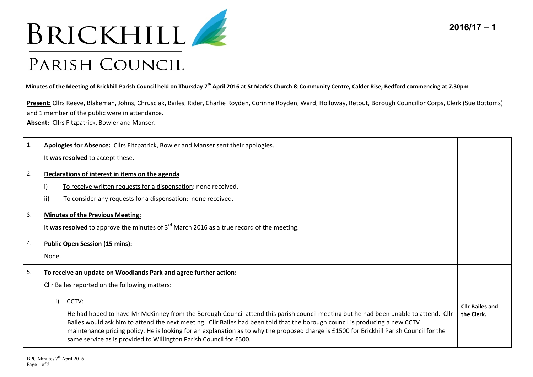



**Minutes of the Meeting of Brickhill Parish Council held on Thursday 7th April 2016 at St Mark's Church & Community Centre, Calder Rise, Bedford commencing at 7.30pm** 

**Present:** Cllrs Reeve, Blakeman, Johns, Chrusciak, Bailes, Rider, Charlie Royden, Corinne Royden, Ward, Holloway, Retout, Borough Councillor Corps, Clerk (Sue Bottoms) and 1 member of the public were in attendance.

**Absent:** Cllrs Fitzpatrick, Bowler and Manser.

| 1. | Apologies for Absence: Cllrs Fitzpatrick, Bowler and Manser sent their apologies.                                                                                                                                                                                                                                                                                                                                                                                                                   |                                      |
|----|-----------------------------------------------------------------------------------------------------------------------------------------------------------------------------------------------------------------------------------------------------------------------------------------------------------------------------------------------------------------------------------------------------------------------------------------------------------------------------------------------------|--------------------------------------|
|    | It was resolved to accept these.                                                                                                                                                                                                                                                                                                                                                                                                                                                                    |                                      |
| 2. | Declarations of interest in items on the agenda                                                                                                                                                                                                                                                                                                                                                                                                                                                     |                                      |
|    | i)<br>To receive written requests for a dispensation: none received.                                                                                                                                                                                                                                                                                                                                                                                                                                |                                      |
|    | To consider any requests for a dispensation: none received.<br>ii)                                                                                                                                                                                                                                                                                                                                                                                                                                  |                                      |
| 3. | <b>Minutes of the Previous Meeting:</b>                                                                                                                                                                                                                                                                                                                                                                                                                                                             |                                      |
|    | It was resolved to approve the minutes of $3rd$ March 2016 as a true record of the meeting.                                                                                                                                                                                                                                                                                                                                                                                                         |                                      |
| 4. | <b>Public Open Session (15 mins):</b>                                                                                                                                                                                                                                                                                                                                                                                                                                                               |                                      |
|    | None.                                                                                                                                                                                                                                                                                                                                                                                                                                                                                               |                                      |
| 5. | To receive an update on Woodlands Park and agree further action:                                                                                                                                                                                                                                                                                                                                                                                                                                    |                                      |
|    | Cllr Bailes reported on the following matters:                                                                                                                                                                                                                                                                                                                                                                                                                                                      |                                      |
|    | i)<br>CCTV:<br>He had hoped to have Mr McKinney from the Borough Council attend this parish council meeting but he had been unable to attend. Cllr<br>Bailes would ask him to attend the next meeting. Cllr Bailes had been told that the borough council is producing a new CCTV<br>maintenance pricing policy. He is looking for an explanation as to why the proposed charge is £1500 for Brickhill Parish Council for the<br>same service as is provided to Willington Parish Council for £500. | <b>Cllr Bailes and</b><br>the Clerk. |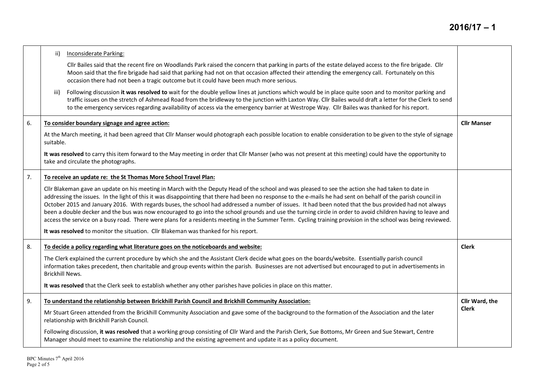|    | ii)<br><b>Inconsiderate Parking:</b>                                                                                                                                                                                                                                                                                                                                                                                                                                                                                                                                                                                                                                                                                                                                                                          |                    |
|----|---------------------------------------------------------------------------------------------------------------------------------------------------------------------------------------------------------------------------------------------------------------------------------------------------------------------------------------------------------------------------------------------------------------------------------------------------------------------------------------------------------------------------------------------------------------------------------------------------------------------------------------------------------------------------------------------------------------------------------------------------------------------------------------------------------------|--------------------|
|    | Cllr Bailes said that the recent fire on Woodlands Park raised the concern that parking in parts of the estate delayed access to the fire brigade. Cllr<br>Moon said that the fire brigade had said that parking had not on that occasion affected their attending the emergency call. Fortunately on this<br>occasion there had not been a tragic outcome but it could have been much more serious.                                                                                                                                                                                                                                                                                                                                                                                                          |                    |
|    | Following discussion it was resolved to wait for the double yellow lines at junctions which would be in place quite soon and to monitor parking and<br>iii)<br>traffic issues on the stretch of Ashmead Road from the bridleway to the junction with Laxton Way. Cllr Bailes would draft a letter for the Clerk to send<br>to the emergency services regarding availability of access via the emergency barrier at Westrope Way. Cllr Bailes was thanked for his report.                                                                                                                                                                                                                                                                                                                                      |                    |
| 6. | To consider boundary signage and agree action:                                                                                                                                                                                                                                                                                                                                                                                                                                                                                                                                                                                                                                                                                                                                                                | <b>Cllr Manser</b> |
|    | At the March meeting, it had been agreed that Cllr Manser would photograph each possible location to enable consideration to be given to the style of signage<br>suitable.                                                                                                                                                                                                                                                                                                                                                                                                                                                                                                                                                                                                                                    |                    |
|    | It was resolved to carry this item forward to the May meeting in order that Cllr Manser (who was not present at this meeting) could have the opportunity to<br>take and circulate the photographs.                                                                                                                                                                                                                                                                                                                                                                                                                                                                                                                                                                                                            |                    |
| 7. | To receive an update re: the St Thomas More School Travel Plan:                                                                                                                                                                                                                                                                                                                                                                                                                                                                                                                                                                                                                                                                                                                                               |                    |
|    | Cllr Blakeman gave an update on his meeting in March with the Deputy Head of the school and was pleased to see the action she had taken to date in<br>addressing the issues. In the light of this it was disappointing that there had been no response to the e-mails he had sent on behalf of the parish council in<br>October 2015 and January 2016. With regards buses, the school had addressed a number of issues. It had been noted that the bus provided had not always<br>been a double decker and the bus was now encouraged to go into the school grounds and use the turning circle in order to avoid children having to leave and<br>access the service on a busy road. There were plans for a residents meeting in the Summer Term. Cycling training provision in the school was being reviewed. |                    |
|    | It was resolved to monitor the situation. Cllr Blakeman was thanked for his report.                                                                                                                                                                                                                                                                                                                                                                                                                                                                                                                                                                                                                                                                                                                           |                    |
| 8. | To decide a policy regarding what literature goes on the noticeboards and website:                                                                                                                                                                                                                                                                                                                                                                                                                                                                                                                                                                                                                                                                                                                            | <b>Clerk</b>       |
|    | The Clerk explained the current procedure by which she and the Assistant Clerk decide what goes on the boards/website. Essentially parish council<br>information takes precedent, then charitable and group events within the parish. Businesses are not advertised but encouraged to put in advertisements in<br><b>Brickhill News.</b>                                                                                                                                                                                                                                                                                                                                                                                                                                                                      |                    |
|    | It was resolved that the Clerk seek to establish whether any other parishes have policies in place on this matter.                                                                                                                                                                                                                                                                                                                                                                                                                                                                                                                                                                                                                                                                                            |                    |
| 9. | To understand the relationship between Brickhill Parish Council and Brickhill Community Association:                                                                                                                                                                                                                                                                                                                                                                                                                                                                                                                                                                                                                                                                                                          | Cllr Ward, the     |
|    | Mr Stuart Green attended from the Brickhill Community Association and gave some of the background to the formation of the Association and the later<br>relationship with Brickhill Parish Council.                                                                                                                                                                                                                                                                                                                                                                                                                                                                                                                                                                                                            | Clerk              |
|    | Following discussion, it was resolved that a working group consisting of Cllr Ward and the Parish Clerk, Sue Bottoms, Mr Green and Sue Stewart, Centre<br>Manager should meet to examine the relationship and the existing agreement and update it as a policy document.                                                                                                                                                                                                                                                                                                                                                                                                                                                                                                                                      |                    |
|    |                                                                                                                                                                                                                                                                                                                                                                                                                                                                                                                                                                                                                                                                                                                                                                                                               |                    |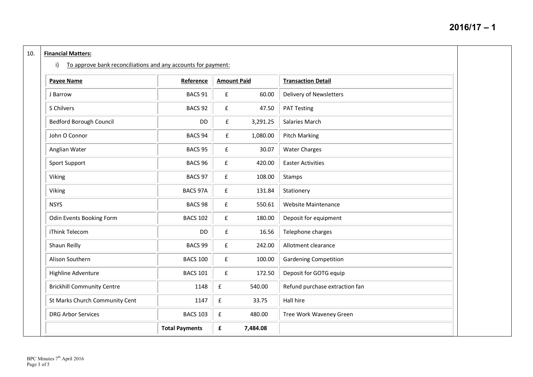## 10. **Financial Matters:**

i) To approve bank reconciliations and any accounts for payment:

| <b>Payee Name</b>                 | Reference             | <b>Amount Paid</b> |          | <b>Transaction Detail</b>      |  |
|-----------------------------------|-----------------------|--------------------|----------|--------------------------------|--|
| J Barrow                          | BACS 91               | £                  | 60.00    | Delivery of Newsletters        |  |
| S Chilvers                        | BACS <sub>92</sub>    | £                  | 47.50    | <b>PAT Testing</b>             |  |
| <b>Bedford Borough Council</b>    | DD                    | ${\bf f}$          | 3,291.25 | Salaries March                 |  |
| John O Connor                     | BACS <sub>94</sub>    | £                  | 1,080.00 | <b>Pitch Marking</b>           |  |
| Anglian Water                     | BACS 95               | £                  | 30.07    | <b>Water Charges</b>           |  |
| Sport Support                     | BACS 96               | £                  | 420.00   | <b>Easter Activities</b>       |  |
| Viking                            | BACS 97               | £                  | 108.00   | Stamps                         |  |
| Viking                            | BACS 97A              | £                  | 131.84   | Stationery                     |  |
| <b>NSYS</b>                       | BACS <sub>98</sub>    | £                  | 550.61   | <b>Website Maintenance</b>     |  |
| Odin Events Booking Form          | <b>BACS 102</b>       | £                  | 180.00   | Deposit for equipment          |  |
| iThink Telecom                    | DD                    | £                  | 16.56    | Telephone charges              |  |
| Shaun Reilly                      | BACS <sub>99</sub>    | £                  | 242.00   | Allotment clearance            |  |
| Alison Southern                   | <b>BACS 100</b>       | £                  | 100.00   | <b>Gardening Competition</b>   |  |
| Highline Adventure                | <b>BACS 101</b>       | £                  | 172.50   | Deposit for GOTG equip         |  |
| <b>Brickhill Community Centre</b> | 1148                  | £                  | 540.00   | Refund purchase extraction fan |  |
| St Marks Church Community Cent    | 1147                  | $\mathbf f$        | 33.75    | Hall hire                      |  |
| <b>DRG Arbor Services</b>         | <b>BACS 103</b>       | ${\bf f}$          | 480.00   | Tree Work Waveney Green        |  |
|                                   | <b>Total Payments</b> | £                  | 7,484.08 |                                |  |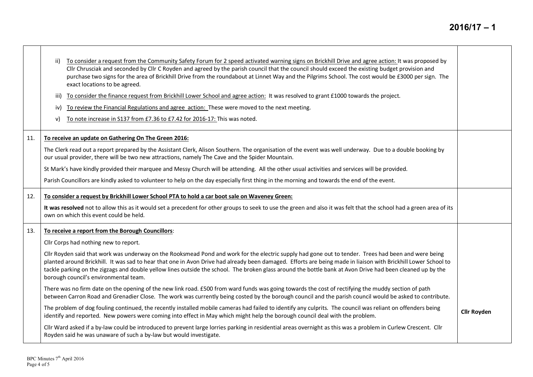|     | To consider a request from the Community Safety Forum for 2 speed activated warning signs on Brickhill Drive and agree action: It was proposed by<br>ii)<br>Cllr Chrusciak and seconded by Cllr C Royden and agreed by the parish council that the council should exceed the existing budget provision and<br>purchase two signs for the area of Brickhill Drive from the roundabout at Linnet Way and the Pilgrims School. The cost would be £3000 per sign. The<br>exact locations to be agreed.<br>To consider the finance request from Brickhill Lower School and agree action: It was resolved to grant £1000 towards the project.<br>iii)<br>To review the Financial Regulations and agree action: These were moved to the next meeting.<br>iv)<br>To note increase in S137 from £7.36 to £7.42 for 2016-17: This was noted.<br>v) |                    |
|-----|------------------------------------------------------------------------------------------------------------------------------------------------------------------------------------------------------------------------------------------------------------------------------------------------------------------------------------------------------------------------------------------------------------------------------------------------------------------------------------------------------------------------------------------------------------------------------------------------------------------------------------------------------------------------------------------------------------------------------------------------------------------------------------------------------------------------------------------|--------------------|
| 11. | To receive an update on Gathering On The Green 2016:                                                                                                                                                                                                                                                                                                                                                                                                                                                                                                                                                                                                                                                                                                                                                                                     |                    |
|     | The Clerk read out a report prepared by the Assistant Clerk, Alison Southern. The organisation of the event was well underway. Due to a double booking by<br>our usual provider, there will be two new attractions, namely The Cave and the Spider Mountain.                                                                                                                                                                                                                                                                                                                                                                                                                                                                                                                                                                             |                    |
|     | St Mark's have kindly provided their marquee and Messy Church will be attending. All the other usual activities and services will be provided.                                                                                                                                                                                                                                                                                                                                                                                                                                                                                                                                                                                                                                                                                           |                    |
|     | Parish Councillors are kindly asked to volunteer to help on the day especially first thing in the morning and towards the end of the event.                                                                                                                                                                                                                                                                                                                                                                                                                                                                                                                                                                                                                                                                                              |                    |
| 12. | To consider a request by Brickhill Lower School PTA to hold a car boot sale on Waveney Green:                                                                                                                                                                                                                                                                                                                                                                                                                                                                                                                                                                                                                                                                                                                                            |                    |
|     | It was resolved not to allow this as it would set a precedent for other groups to seek to use the green and also it was felt that the school had a green area of its<br>own on which this event could be held.                                                                                                                                                                                                                                                                                                                                                                                                                                                                                                                                                                                                                           |                    |
| 13. | To receive a report from the Borough Councillors:                                                                                                                                                                                                                                                                                                                                                                                                                                                                                                                                                                                                                                                                                                                                                                                        |                    |
|     | Cllr Corps had nothing new to report.                                                                                                                                                                                                                                                                                                                                                                                                                                                                                                                                                                                                                                                                                                                                                                                                    |                    |
|     | Cllr Royden said that work was underway on the Rooksmead Pond and work for the electric supply had gone out to tender. Trees had been and were being<br>planted around Brickhill. It was sad to hear that one in Avon Drive had already been damaged. Efforts are being made in liaison with Brickhill Lower School to<br>tackle parking on the zigzags and double yellow lines outside the school. The broken glass around the bottle bank at Avon Drive had been cleaned up by the<br>borough council's environmental team.                                                                                                                                                                                                                                                                                                            |                    |
|     | There was no firm date on the opening of the new link road. £500 from ward funds was going towards the cost of rectifying the muddy section of path<br>between Carron Road and Grenadier Close. The work was currently being costed by the borough council and the parish council would be asked to contribute.                                                                                                                                                                                                                                                                                                                                                                                                                                                                                                                          |                    |
|     | The problem of dog fouling continued, the recently installed mobile cameras had failed to identify any culprits. The council was reliant on offenders being<br>identify and reported. New powers were coming into effect in May which might help the borough council deal with the problem.                                                                                                                                                                                                                                                                                                                                                                                                                                                                                                                                              | <b>Cllr Royden</b> |
|     | Cllr Ward asked if a by-law could be introduced to prevent large lorries parking in residential areas overnight as this was a problem in Curlew Crescent. Cllr<br>Royden said he was unaware of such a by-law but would investigate.                                                                                                                                                                                                                                                                                                                                                                                                                                                                                                                                                                                                     |                    |